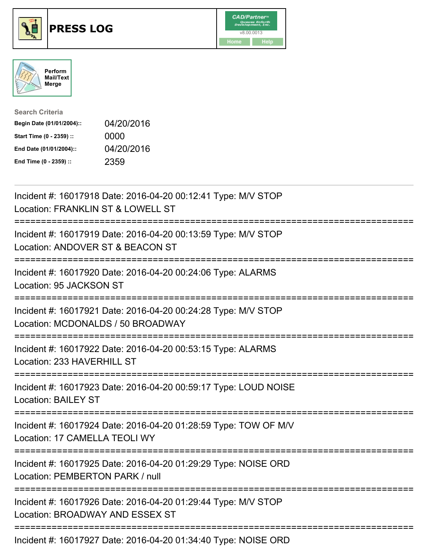





| <b>Search Criteria</b>    |            |
|---------------------------|------------|
| Begin Date (01/01/2004):: | 04/20/2016 |
| Start Time (0 - 2359) ::  | 0000       |
| End Date (01/01/2004)::   | 04/20/2016 |
| End Time (0 - 2359) ::    | 2359       |

| Incident #: 16017918 Date: 2016-04-20 00:12:41 Type: M/V STOP<br>Location: FRANKLIN ST & LOWELL ST                                            |
|-----------------------------------------------------------------------------------------------------------------------------------------------|
| Incident #: 16017919 Date: 2016-04-20 00:13:59 Type: M/V STOP<br>Location: ANDOVER ST & BEACON ST                                             |
| Incident #: 16017920 Date: 2016-04-20 00:24:06 Type: ALARMS<br>Location: 95 JACKSON ST<br>----------                                          |
| Incident #: 16017921 Date: 2016-04-20 00:24:28 Type: M/V STOP<br>Location: MCDONALDS / 50 BROADWAY                                            |
| Incident #: 16017922 Date: 2016-04-20 00:53:15 Type: ALARMS<br>Location: 233 HAVERHILL ST<br>========================<br>-------------------- |
| Incident #: 16017923 Date: 2016-04-20 00:59:17 Type: LOUD NOISE<br><b>Location: BAILEY ST</b>                                                 |
| Incident #: 16017924 Date: 2016-04-20 01:28:59 Type: TOW OF M/V<br>Location: 17 CAMELLA TEOLI WY                                              |
| Incident #: 16017925 Date: 2016-04-20 01:29:29 Type: NOISE ORD<br>Location: PEMBERTON PARK / null                                             |
| Incident #: 16017926 Date: 2016-04-20 01:29:44 Type: M/V STOP<br>Location: BROADWAY AND ESSEX ST                                              |
| Incident #: 16017927 Date: 2016-04-20 01:34:40 Type: NOISE ORD                                                                                |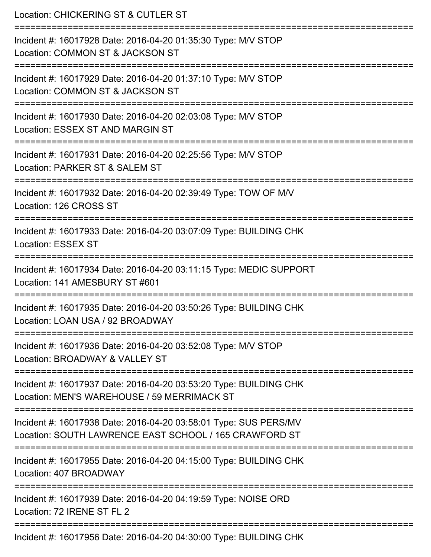| Location: CHICKERING ST & CUTLER ST                                                                                        |
|----------------------------------------------------------------------------------------------------------------------------|
| Incident #: 16017928 Date: 2016-04-20 01:35:30 Type: M/V STOP<br>Location: COMMON ST & JACKSON ST<br>:2222222222222222222  |
| Incident #: 16017929 Date: 2016-04-20 01:37:10 Type: M/V STOP<br>Location: COMMON ST & JACKSON ST                          |
| Incident #: 16017930 Date: 2016-04-20 02:03:08 Type: M/V STOP<br><b>Location: ESSEX ST AND MARGIN ST</b>                   |
| Incident #: 16017931 Date: 2016-04-20 02:25:56 Type: M/V STOP<br>Location: PARKER ST & SALEM ST                            |
| Incident #: 16017932 Date: 2016-04-20 02:39:49 Type: TOW OF M/V<br>Location: 126 CROSS ST                                  |
| Incident #: 16017933 Date: 2016-04-20 03:07:09 Type: BUILDING CHK<br><b>Location: ESSEX ST</b>                             |
| Incident #: 16017934 Date: 2016-04-20 03:11:15 Type: MEDIC SUPPORT<br>Location: 141 AMESBURY ST #601                       |
| Incident #: 16017935 Date: 2016-04-20 03:50:26 Type: BUILDING CHK<br>Location: LOAN USA / 92 BROADWAY                      |
| Incident #: 16017936 Date: 2016-04-20 03:52:08 Type: M/V STOP<br>Location: BROADWAY & VALLEY ST                            |
| Incident #: 16017937 Date: 2016-04-20 03:53:20 Type: BUILDING CHK<br>Location: MEN'S WAREHOUSE / 59 MERRIMACK ST           |
| Incident #: 16017938 Date: 2016-04-20 03:58:01 Type: SUS PERS/MV<br>Location: SOUTH LAWRENCE EAST SCHOOL / 165 CRAWFORD ST |
| Incident #: 16017955 Date: 2016-04-20 04:15:00 Type: BUILDING CHK<br>Location: 407 BROADWAY                                |
| Incident #: 16017939 Date: 2016-04-20 04:19:59 Type: NOISE ORD<br>Location: 72 IRENE ST FL 2                               |
| Incident #: 16017956 Date: 2016-04-20 04:30:00 Type: BUILDING CHK                                                          |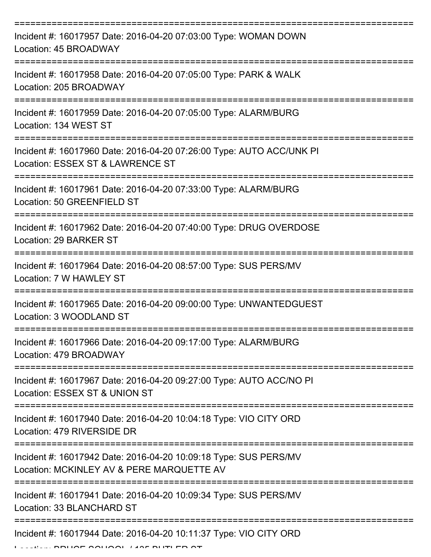| Incident #: 16017957 Date: 2016-04-20 07:03:00 Type: WOMAN DOWN<br>Location: 45 BROADWAY                      |
|---------------------------------------------------------------------------------------------------------------|
| Incident #: 16017958 Date: 2016-04-20 07:05:00 Type: PARK & WALK<br>Location: 205 BROADWAY                    |
| Incident #: 16017959 Date: 2016-04-20 07:05:00 Type: ALARM/BURG<br>Location: 134 WEST ST                      |
| Incident #: 16017960 Date: 2016-04-20 07:26:00 Type: AUTO ACC/UNK PI<br>Location: ESSEX ST & LAWRENCE ST      |
| Incident #: 16017961 Date: 2016-04-20 07:33:00 Type: ALARM/BURG<br>Location: 50 GREENFIELD ST                 |
| Incident #: 16017962 Date: 2016-04-20 07:40:00 Type: DRUG OVERDOSE<br><b>Location: 29 BARKER ST</b>           |
| Incident #: 16017964 Date: 2016-04-20 08:57:00 Type: SUS PERS/MV<br>Location: 7 W HAWLEY ST                   |
| Incident #: 16017965 Date: 2016-04-20 09:00:00 Type: UNWANTEDGUEST<br>Location: 3 WOODLAND ST                 |
| Incident #: 16017966 Date: 2016-04-20 09:17:00 Type: ALARM/BURG<br>Location: 479 BROADWAY                     |
| Incident #: 16017967 Date: 2016-04-20 09:27:00 Type: AUTO ACC/NO PI<br>Location: ESSEX ST & UNION ST          |
| Incident #: 16017940 Date: 2016-04-20 10:04:18 Type: VIO CITY ORD<br>Location: 479 RIVERSIDE DR               |
| Incident #: 16017942 Date: 2016-04-20 10:09:18 Type: SUS PERS/MV<br>Location: MCKINLEY AV & PERE MARQUETTE AV |
| Incident #: 16017941 Date: 2016-04-20 10:09:34 Type: SUS PERS/MV<br>Location: 33 BLANCHARD ST                 |
| Incident #: 16017944 Date: 2016-04-20 10:11:37 Type: VIO CITY ORD                                             |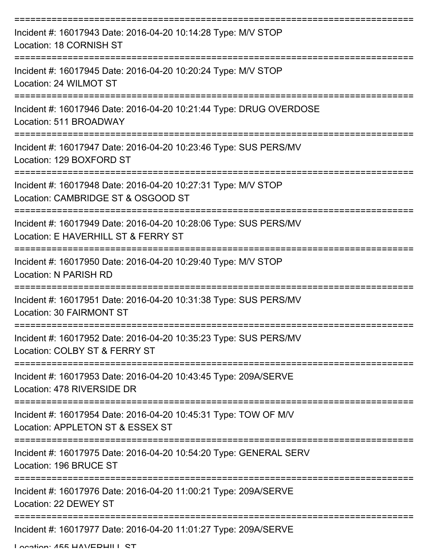| Incident #: 16017943 Date: 2016-04-20 10:14:28 Type: M/V STOP<br>Location: 18 CORNISH ST                     |
|--------------------------------------------------------------------------------------------------------------|
| Incident #: 16017945 Date: 2016-04-20 10:20:24 Type: M/V STOP<br>Location: 24 WILMOT ST                      |
| Incident #: 16017946 Date: 2016-04-20 10:21:44 Type: DRUG OVERDOSE<br>Location: 511 BROADWAY                 |
| Incident #: 16017947 Date: 2016-04-20 10:23:46 Type: SUS PERS/MV<br>Location: 129 BOXFORD ST                 |
| Incident #: 16017948 Date: 2016-04-20 10:27:31 Type: M/V STOP<br>Location: CAMBRIDGE ST & OSGOOD ST          |
| Incident #: 16017949 Date: 2016-04-20 10:28:06 Type: SUS PERS/MV<br>Location: E HAVERHILL ST & FERRY ST      |
| Incident #: 16017950 Date: 2016-04-20 10:29:40 Type: M/V STOP<br>Location: N PARISH RD<br>================== |
| Incident #: 16017951 Date: 2016-04-20 10:31:38 Type: SUS PERS/MV<br>Location: 30 FAIRMONT ST                 |
| Incident #: 16017952 Date: 2016-04-20 10:35:23 Type: SUS PERS/MV<br>Location: COLBY ST & FERRY ST            |
| Incident #: 16017953 Date: 2016-04-20 10:43:45 Type: 209A/SERVE<br>Location: 478 RIVERSIDE DR                |
| Incident #: 16017954 Date: 2016-04-20 10:45:31 Type: TOW OF M/V<br>Location: APPLETON ST & ESSEX ST          |
| Incident #: 16017975 Date: 2016-04-20 10:54:20 Type: GENERAL SERV<br>Location: 196 BRUCE ST                  |
| Incident #: 16017976 Date: 2016-04-20 11:00:21 Type: 209A/SERVE<br>Location: 22 DEWEY ST                     |
| Incident #: 16017977 Date: 2016-04-20 11:01:27 Type: 209A/SERVE                                              |

Location: 455 HAV/CDHILL CT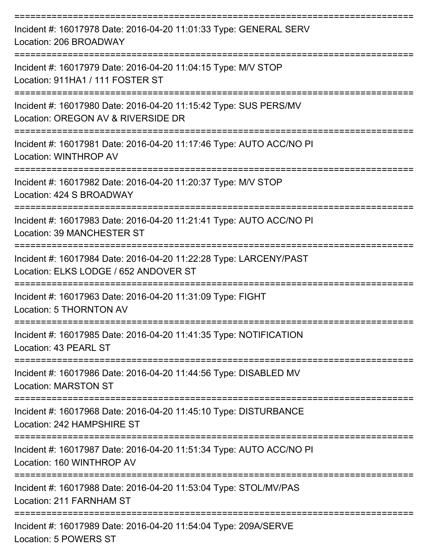| Incident #: 16017978 Date: 2016-04-20 11:01:33 Type: GENERAL SERV<br>Location: 206 BROADWAY                        |
|--------------------------------------------------------------------------------------------------------------------|
| Incident #: 16017979 Date: 2016-04-20 11:04:15 Type: M/V STOP<br>Location: 911HA1 / 111 FOSTER ST                  |
| Incident #: 16017980 Date: 2016-04-20 11:15:42 Type: SUS PERS/MV<br>Location: OREGON AV & RIVERSIDE DR             |
| Incident #: 16017981 Date: 2016-04-20 11:17:46 Type: AUTO ACC/NO PI<br>Location: WINTHROP AV                       |
| Incident #: 16017982 Date: 2016-04-20 11:20:37 Type: M/V STOP<br>Location: 424 S BROADWAY                          |
| Incident #: 16017983 Date: 2016-04-20 11:21:41 Type: AUTO ACC/NO PI<br>Location: 39 MANCHESTER ST<br>------------- |
| Incident #: 16017984 Date: 2016-04-20 11:22:28 Type: LARCENY/PAST<br>Location: ELKS LODGE / 652 ANDOVER ST         |
| Incident #: 16017963 Date: 2016-04-20 11:31:09 Type: FIGHT<br>Location: 5 THORNTON AV                              |
| Incident #: 16017985 Date: 2016-04-20 11:41:35 Type: NOTIFICATION<br>Location: 43 PEARL ST                         |
| Incident #: 16017986 Date: 2016-04-20 11:44:56 Type: DISABLED MV<br><b>Location: MARSTON ST</b>                    |
| Incident #: 16017968 Date: 2016-04-20 11:45:10 Type: DISTURBANCE<br>Location: 242 HAMPSHIRE ST                     |
| Incident #: 16017987 Date: 2016-04-20 11:51:34 Type: AUTO ACC/NO PI<br>Location: 160 WINTHROP AV                   |
| Incident #: 16017988 Date: 2016-04-20 11:53:04 Type: STOL/MV/PAS<br>Location: 211 FARNHAM ST                       |
| Incident #: 16017989 Date: 2016-04-20 11:54:04 Type: 209A/SERVE<br>Location: 5 POWERS ST                           |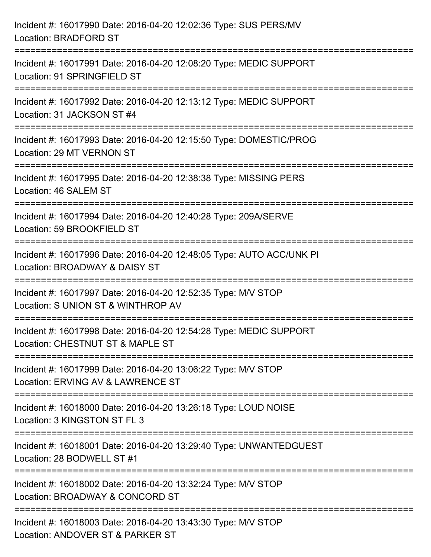| Incident #: 16017990 Date: 2016-04-20 12:02:36 Type: SUS PERS/MV<br><b>Location: BRADFORD ST</b>                                    |
|-------------------------------------------------------------------------------------------------------------------------------------|
| Incident #: 16017991 Date: 2016-04-20 12:08:20 Type: MEDIC SUPPORT<br>Location: 91 SPRINGFIELD ST                                   |
| ------------------<br>Incident #: 16017992 Date: 2016-04-20 12:13:12 Type: MEDIC SUPPORT<br>Location: 31 JACKSON ST #4              |
| Incident #: 16017993 Date: 2016-04-20 12:15:50 Type: DOMESTIC/PROG<br>Location: 29 MT VERNON ST                                     |
| :====================================<br>Incident #: 16017995 Date: 2016-04-20 12:38:38 Type: MISSING PERS<br>Location: 46 SALEM ST |
| Incident #: 16017994 Date: 2016-04-20 12:40:28 Type: 209A/SERVE<br>Location: 59 BROOKFIELD ST                                       |
| Incident #: 16017996 Date: 2016-04-20 12:48:05 Type: AUTO ACC/UNK PI<br>Location: BROADWAY & DAISY ST                               |
| Incident #: 16017997 Date: 2016-04-20 12:52:35 Type: M/V STOP<br>Location: S UNION ST & WINTHROP AV                                 |
| Incident #: 16017998 Date: 2016-04-20 12:54:28 Type: MEDIC SUPPORT<br>Location: CHESTNUT ST & MAPLE ST                              |
| Incident #: 16017999 Date: 2016-04-20 13:06:22 Type: M/V STOP<br>Location: ERVING AV & LAWRENCE ST                                  |
| Incident #: 16018000 Date: 2016-04-20 13:26:18 Type: LOUD NOISE<br>Location: 3 KINGSTON ST FL 3                                     |
| Incident #: 16018001 Date: 2016-04-20 13:29:40 Type: UNWANTEDGUEST<br>Location: 28 BODWELL ST #1                                    |
| Incident #: 16018002 Date: 2016-04-20 13:32:24 Type: M/V STOP<br>Location: BROADWAY & CONCORD ST                                    |
| Incident #: 16018003 Date: 2016-04-20 13:43:30 Type: M/V STOP<br>Location: ANDOVER ST & PARKER ST                                   |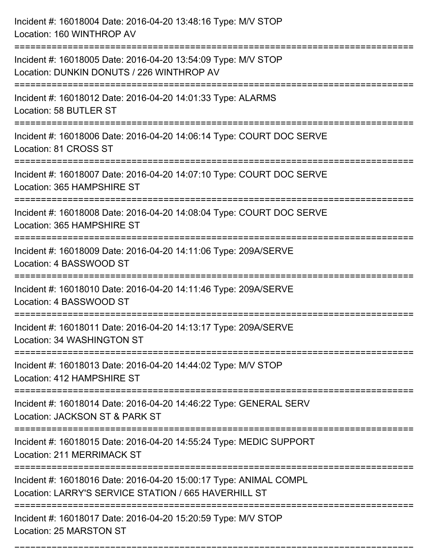| Incident #: 16018004 Date: 2016-04-20 13:48:16 Type: M/V STOP<br>Location: 160 WINTHROP AV                                |
|---------------------------------------------------------------------------------------------------------------------------|
| Incident #: 16018005 Date: 2016-04-20 13:54:09 Type: M/V STOP<br>Location: DUNKIN DONUTS / 226 WINTHROP AV                |
| Incident #: 16018012 Date: 2016-04-20 14:01:33 Type: ALARMS<br>Location: 58 BUTLER ST                                     |
| Incident #: 16018006 Date: 2016-04-20 14:06:14 Type: COURT DOC SERVE<br>Location: 81 CROSS ST                             |
| Incident #: 16018007 Date: 2016-04-20 14:07:10 Type: COURT DOC SERVE<br>Location: 365 HAMPSHIRE ST<br>==================  |
| Incident #: 16018008 Date: 2016-04-20 14:08:04 Type: COURT DOC SERVE<br>Location: 365 HAMPSHIRE ST                        |
| Incident #: 16018009 Date: 2016-04-20 14:11:06 Type: 209A/SERVE<br>Location: 4 BASSWOOD ST                                |
| Incident #: 16018010 Date: 2016-04-20 14:11:46 Type: 209A/SERVE<br>Location: 4 BASSWOOD ST                                |
| Incident #: 16018011 Date: 2016-04-20 14:13:17 Type: 209A/SERVE<br>Location: 34 WASHINGTON ST                             |
| Incident #: 16018013 Date: 2016-04-20 14:44:02 Type: M/V STOP<br>Location: 412 HAMPSHIRE ST                               |
| Incident #: 16018014 Date: 2016-04-20 14:46:22 Type: GENERAL SERV<br>Location: JACKSON ST & PARK ST                       |
| Incident #: 16018015 Date: 2016-04-20 14:55:24 Type: MEDIC SUPPORT<br><b>Location: 211 MERRIMACK ST</b>                   |
| Incident #: 16018016 Date: 2016-04-20 15:00:17 Type: ANIMAL COMPL<br>Location: LARRY'S SERVICE STATION / 665 HAVERHILL ST |
| Incident #: 16018017 Date: 2016-04-20 15:20:59 Type: M/V STOP<br>Location: 25 MARSTON ST                                  |

===========================================================================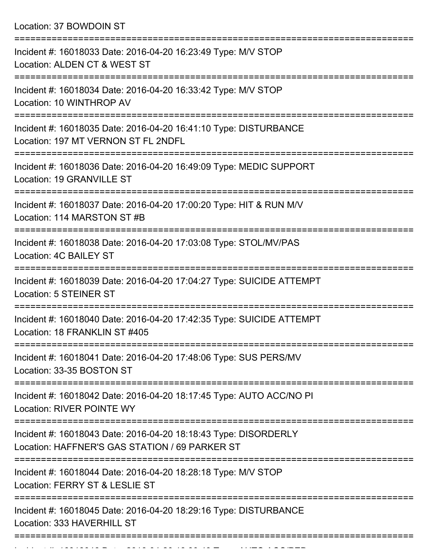Location: 37 BOWDOIN ST

| Incident #: 16018033 Date: 2016-04-20 16:23:49 Type: M/V STOP<br>Location: ALDEN CT & WEST ST                     |
|-------------------------------------------------------------------------------------------------------------------|
| Incident #: 16018034 Date: 2016-04-20 16:33:42 Type: M/V STOP<br>Location: 10 WINTHROP AV                         |
| Incident #: 16018035 Date: 2016-04-20 16:41:10 Type: DISTURBANCE<br>Location: 197 MT VERNON ST FL 2NDFL           |
| Incident #: 16018036 Date: 2016-04-20 16:49:09 Type: MEDIC SUPPORT<br>Location: 19 GRANVILLE ST                   |
| Incident #: 16018037 Date: 2016-04-20 17:00:20 Type: HIT & RUN M/V<br>Location: 114 MARSTON ST #B                 |
| Incident #: 16018038 Date: 2016-04-20 17:03:08 Type: STOL/MV/PAS<br>Location: 4C BAILEY ST                        |
| Incident #: 16018039 Date: 2016-04-20 17:04:27 Type: SUICIDE ATTEMPT<br>Location: 5 STEINER ST                    |
| Incident #: 16018040 Date: 2016-04-20 17:42:35 Type: SUICIDE ATTEMPT<br>Location: 18 FRANKLIN ST #405             |
| Incident #: 16018041 Date: 2016-04-20 17:48:06 Type: SUS PERS/MV<br>Location: 33-35 BOSTON ST                     |
| Incident #: 16018042 Date: 2016-04-20 18:17:45 Type: AUTO ACC/NO PI<br><b>Location: RIVER POINTE WY</b>           |
| Incident #: 16018043 Date: 2016-04-20 18:18:43 Type: DISORDERLY<br>Location: HAFFNER'S GAS STATION / 69 PARKER ST |
| Incident #: 16018044 Date: 2016-04-20 18:28:18 Type: M/V STOP<br>Location: FERRY ST & LESLIE ST                   |
| Incident #: 16018045 Date: 2016-04-20 18:29:16 Type: DISTURBANCE<br>Location: 333 HAVERHILL ST                    |
|                                                                                                                   |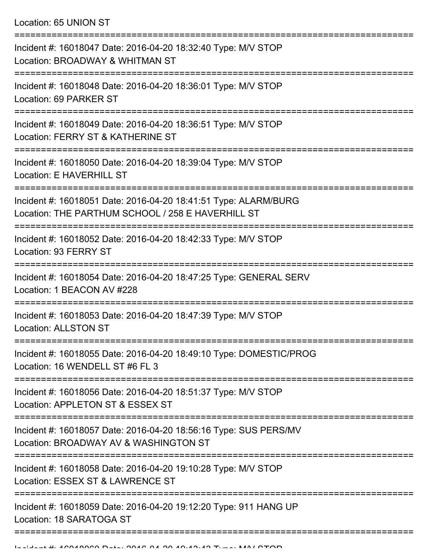Location: 65 UNION ST

| Incident #: 16018047 Date: 2016-04-20 18:32:40 Type: M/V STOP<br>Location: BROADWAY & WHITMAN ST                                           |
|--------------------------------------------------------------------------------------------------------------------------------------------|
| Incident #: 16018048 Date: 2016-04-20 18:36:01 Type: M/V STOP<br>Location: 69 PARKER ST                                                    |
| Incident #: 16018049 Date: 2016-04-20 18:36:51 Type: M/V STOP<br>Location: FERRY ST & KATHERINE ST                                         |
| Incident #: 16018050 Date: 2016-04-20 18:39:04 Type: M/V STOP<br>Location: E HAVERHILL ST                                                  |
| Incident #: 16018051 Date: 2016-04-20 18:41:51 Type: ALARM/BURG<br>Location: THE PARTHUM SCHOOL / 258 E HAVERHILL ST                       |
| Incident #: 16018052 Date: 2016-04-20 18:42:33 Type: M/V STOP<br>Location: 93 FERRY ST                                                     |
| Incident #: 16018054 Date: 2016-04-20 18:47:25 Type: GENERAL SERV<br>Location: 1 BEACON AV #228                                            |
| Incident #: 16018053 Date: 2016-04-20 18:47:39 Type: M/V STOP<br><b>Location: ALLSTON ST</b>                                               |
| Incident #: 16018055 Date: 2016-04-20 18:49:10 Type: DOMESTIC/PROG<br>Location: 16 WENDELL ST #6 FL 3                                      |
| Incident #: 16018056 Date: 2016-04-20 18:51:37 Type: M/V STOP<br>Location: APPLETON ST & ESSEX ST                                          |
| Incident #: 16018057 Date: 2016-04-20 18:56:16 Type: SUS PERS/MV<br>Location: BROADWAY AV & WASHINGTON ST                                  |
| =====================================<br>Incident #: 16018058 Date: 2016-04-20 19:10:28 Type: M/V STOP<br>Location: ESSEX ST & LAWRENCE ST |
| Incident #: 16018059 Date: 2016-04-20 19:12:20 Type: 911 HANG UP<br>Location: 18 SARATOGA ST                                               |
|                                                                                                                                            |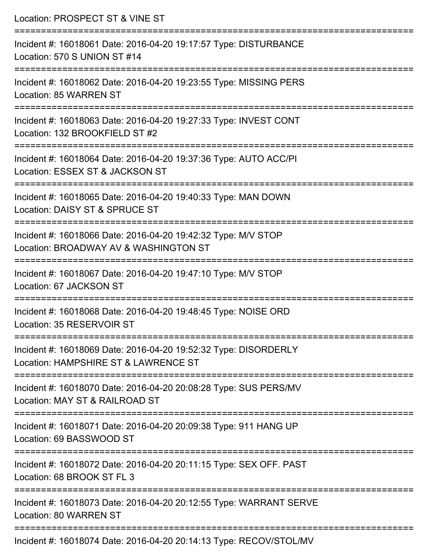| Location: PROSPECT ST & VINE ST                                                                                                            |
|--------------------------------------------------------------------------------------------------------------------------------------------|
| Incident #: 16018061 Date: 2016-04-20 19:17:57 Type: DISTURBANCE<br>Location: 570 S UNION ST #14                                           |
| Incident #: 16018062 Date: 2016-04-20 19:23:55 Type: MISSING PERS<br>Location: 85 WARREN ST                                                |
| Incident #: 16018063 Date: 2016-04-20 19:27:33 Type: INVEST CONT<br>Location: 132 BROOKFIELD ST #2<br>=================================    |
| Incident #: 16018064 Date: 2016-04-20 19:37:36 Type: AUTO ACC/PI<br>Location: ESSEX ST & JACKSON ST<br>==========================          |
| Incident #: 16018065 Date: 2016-04-20 19:40:33 Type: MAN DOWN<br>Location: DAISY ST & SPRUCE ST                                            |
| Incident #: 16018066 Date: 2016-04-20 19:42:32 Type: M/V STOP<br>Location: BROADWAY AV & WASHINGTON ST<br>:=============================== |
| Incident #: 16018067 Date: 2016-04-20 19:47:10 Type: M/V STOP<br>Location: 67 JACKSON ST                                                   |
| Incident #: 16018068 Date: 2016-04-20 19:48:45 Type: NOISE ORD<br>Location: 35 RESERVOIR ST                                                |
| Incident #: 16018069 Date: 2016-04-20 19:52:32 Type: DISORDERLY<br>Location: HAMPSHIRE ST & LAWRENCE ST                                    |
| Incident #: 16018070 Date: 2016-04-20 20:08:28 Type: SUS PERS/MV<br>Location: MAY ST & RAILROAD ST                                         |
| Incident #: 16018071 Date: 2016-04-20 20:09:38 Type: 911 HANG UP<br>Location: 69 BASSWOOD ST                                               |
| Incident #: 16018072 Date: 2016-04-20 20:11:15 Type: SEX OFF. PAST<br>Location: 68 BROOK ST FL 3                                           |
| Incident #: 16018073 Date: 2016-04-20 20:12:55 Type: WARRANT SERVE<br>Location: 80 WARREN ST                                               |
| -------------------------<br>$\mu$ , 10010071 Deta: 0010 01.90.90.11.19 Tupe: DEOOUCTOL AN                                                 |

Incident #: 16018074 Date: 2016-04-20 20:14:13 Type: RECOV/STOL/MV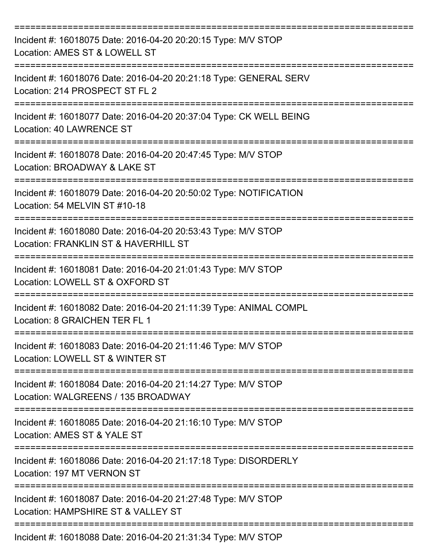| Incident #: 16018075 Date: 2016-04-20 20:20:15 Type: M/V STOP<br>Location: AMES ST & LOWELL ST        |
|-------------------------------------------------------------------------------------------------------|
| Incident #: 16018076 Date: 2016-04-20 20:21:18 Type: GENERAL SERV<br>Location: 214 PROSPECT ST FL 2   |
| Incident #: 16018077 Date: 2016-04-20 20:37:04 Type: CK WELL BEING<br>Location: 40 LAWRENCE ST        |
| Incident #: 16018078 Date: 2016-04-20 20:47:45 Type: M/V STOP<br>Location: BROADWAY & LAKE ST         |
| Incident #: 16018079 Date: 2016-04-20 20:50:02 Type: NOTIFICATION<br>Location: 54 MELVIN ST #10-18    |
| Incident #: 16018080 Date: 2016-04-20 20:53:43 Type: M/V STOP<br>Location: FRANKLIN ST & HAVERHILL ST |
| Incident #: 16018081 Date: 2016-04-20 21:01:43 Type: M/V STOP<br>Location: LOWELL ST & OXFORD ST      |
| Incident #: 16018082 Date: 2016-04-20 21:11:39 Type: ANIMAL COMPL<br>Location: 8 GRAICHEN TER FL 1    |
| Incident #: 16018083 Date: 2016-04-20 21:11:46 Type: M/V STOP<br>Location: LOWELL ST & WINTER ST      |
| Incident #: 16018084 Date: 2016-04-20 21:14:27 Type: M/V STOP<br>Location: WALGREENS / 135 BROADWAY   |
| Incident #: 16018085 Date: 2016-04-20 21:16:10 Type: M/V STOP<br>Location: AMES ST & YALE ST          |
| Incident #: 16018086 Date: 2016-04-20 21:17:18 Type: DISORDERLY<br>Location: 197 MT VERNON ST         |
| Incident #: 16018087 Date: 2016-04-20 21:27:48 Type: M/V STOP<br>Location: HAMPSHIRE ST & VALLEY ST   |
| Incident #: 16018088 Date: 2016-04-20 21:31:34 Type: M/V STOP                                         |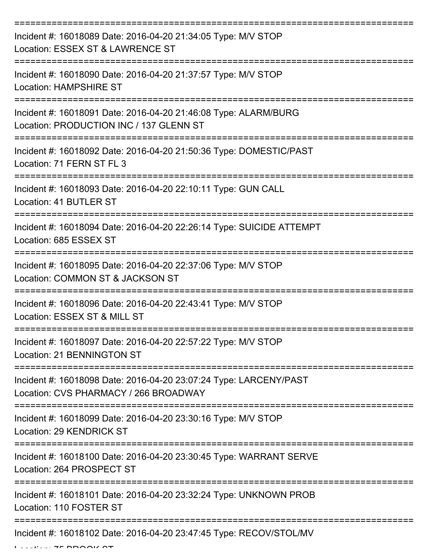| Incident #: 16018089 Date: 2016-04-20 21:34:05 Type: M/V STOP<br>Location: ESSEX ST & LAWRENCE ST          |
|------------------------------------------------------------------------------------------------------------|
| Incident #: 16018090 Date: 2016-04-20 21:37:57 Type: M/V STOP<br>Location: HAMPSHIRE ST                    |
| Incident #: 16018091 Date: 2016-04-20 21:46:08 Type: ALARM/BURG<br>Location: PRODUCTION INC / 137 GLENN ST |
| Incident #: 16018092 Date: 2016-04-20 21:50:36 Type: DOMESTIC/PAST<br>Location: 71 FERN ST FL 3            |
| Incident #: 16018093 Date: 2016-04-20 22:10:11 Type: GUN CALL<br>Location: 41 BUTLER ST                    |
| Incident #: 16018094 Date: 2016-04-20 22:26:14 Type: SUICIDE ATTEMPT<br>Location: 685 ESSEX ST             |
| Incident #: 16018095 Date: 2016-04-20 22:37:06 Type: M/V STOP<br>Location: COMMON ST & JACKSON ST          |
| Incident #: 16018096 Date: 2016-04-20 22:43:41 Type: M/V STOP<br>Location: ESSEX ST & MILL ST              |
| Incident #: 16018097 Date: 2016-04-20 22:57:22 Type: M/V STOP<br>Location: 21 BENNINGTON ST                |
| Incident #: 16018098 Date: 2016-04-20 23:07:24 Type: LARCENY/PAST<br>Location: CVS PHARMACY / 266 BROADWAY |
| Incident #: 16018099 Date: 2016-04-20 23:30:16 Type: M/V STOP<br><b>Location: 29 KENDRICK ST</b>           |
| Incident #: 16018100 Date: 2016-04-20 23:30:45 Type: WARRANT SERVE<br>Location: 264 PROSPECT ST            |
| Incident #: 16018101 Date: 2016-04-20 23:32:24 Type: UNKNOWN PROB<br>Location: 110 FOSTER ST               |
| Incident #: 16018102 Date: 2016-04-20 23:47:45 Type: RECOV/STOL/MV                                         |

 $L$ .... 75 BROOK ST